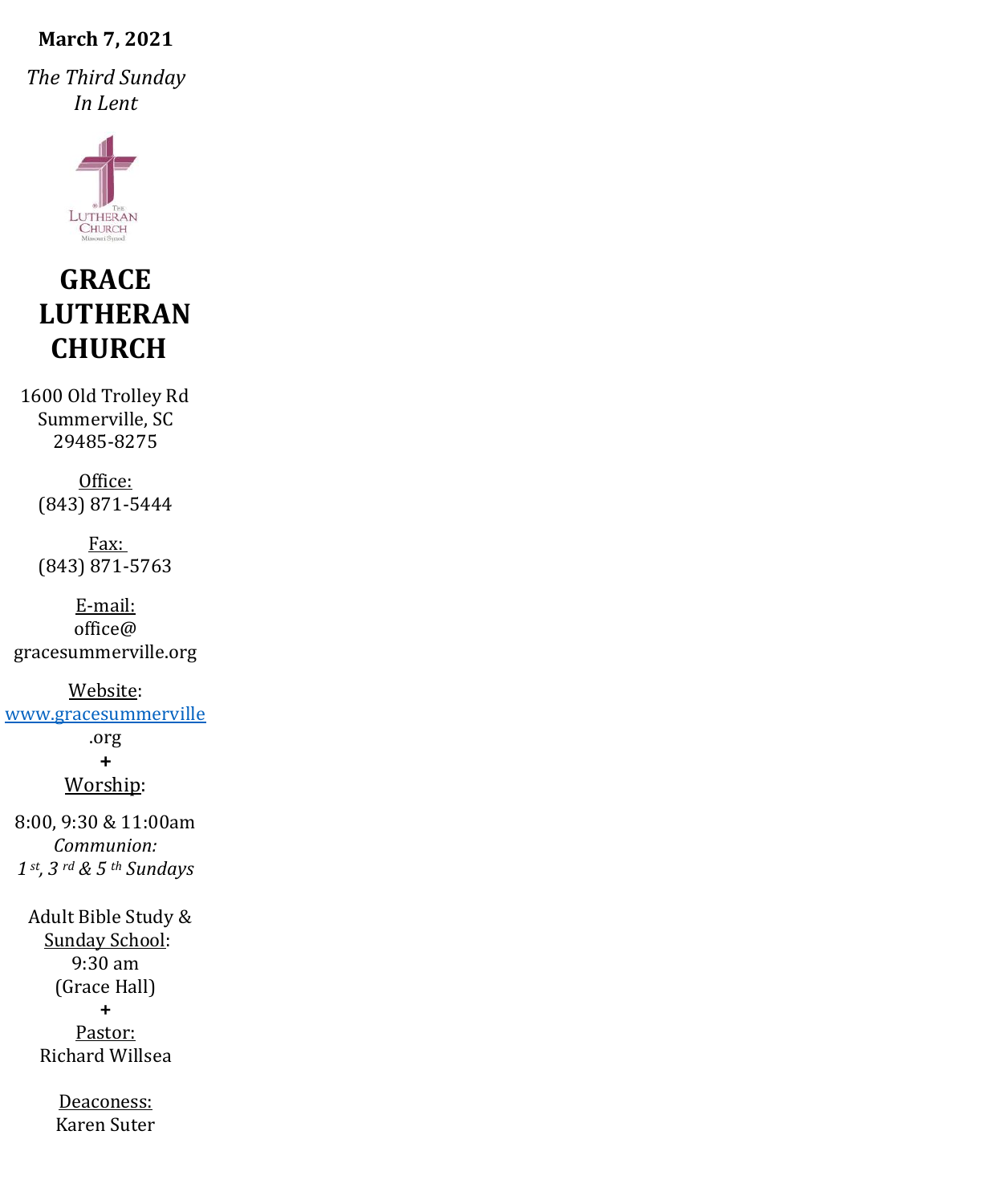#### **March 7, 2021**

*The Third Sunday In Lent*



# **GRACE LUTHERAN CHURCH**

1600 Old Trolley Rd Summerville, SC 29485-8275

Office: (843) 871-5444

Fax: (843) 871-5763

E-mail: office@ gracesummerville.org

Website: [www.gracesummerville](http://www.gracesummerville/) .org

**+**

Worship:

8:00, 9:30 & 11:00am *Communion: 1 st, 3 rd & 5 th Sundays*

 Adult Bible Study & Sunday School: 9:30 am (Grace Hall) **+** Pastor: Richard Willsea

> Deaconess: Karen Suter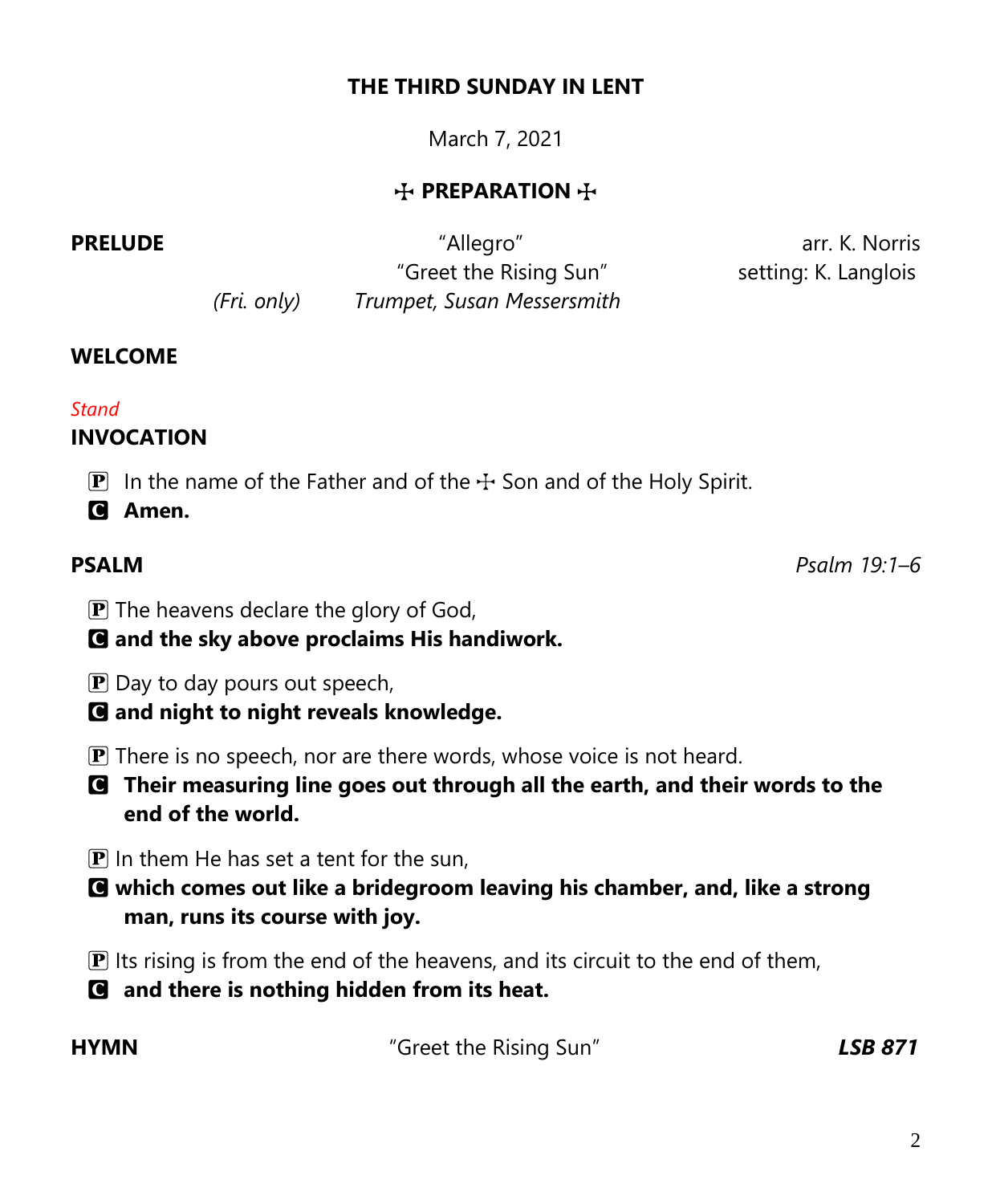## **THE THIRD SUNDAY IN LENT**

March 7, 2021

# **T** PREPARATION T

**PRELUDE CONSERVING A RELUDE CONSERVING A RELUDE arr. K. Norris**  "Greet the Rising Sun" setting: K. Langlois *(Fri. only) Trumpet, Susan Messersmith*

**WELCOME**

#### *Stand*

# **INVOCATION**

**P** In the name of the Father and of the  $+$  Son and of the Holy Spirit.

C **Amen.**

**PSALM** *Psalm 19:1–6*

- $\mathbf{P}$  The heavens declare the glory of God,
- C **and the sky above proclaims His handiwork.**
- $\bf{P}$  Day to day pours out speech,
- C **and night to night reveals knowledge.**
- $\mathbf{P}$  There is no speech, nor are there words, whose voice is not heard.
- C **Their measuring line goes out through all the earth, and their words to the end of the world.**
- $\bf{P}$  In them He has set a tent for the sun,
- C **which comes out like a bridegroom leaving his chamber, and, like a strong man, runs its course with joy.**
- $\mathbf{\mathbf{P}}$  Its rising is from the end of the heavens, and its circuit to the end of them,
- C **and there is nothing hidden from its heat.**

**HYMN** "Greet the Rising Sun" *LSB 871*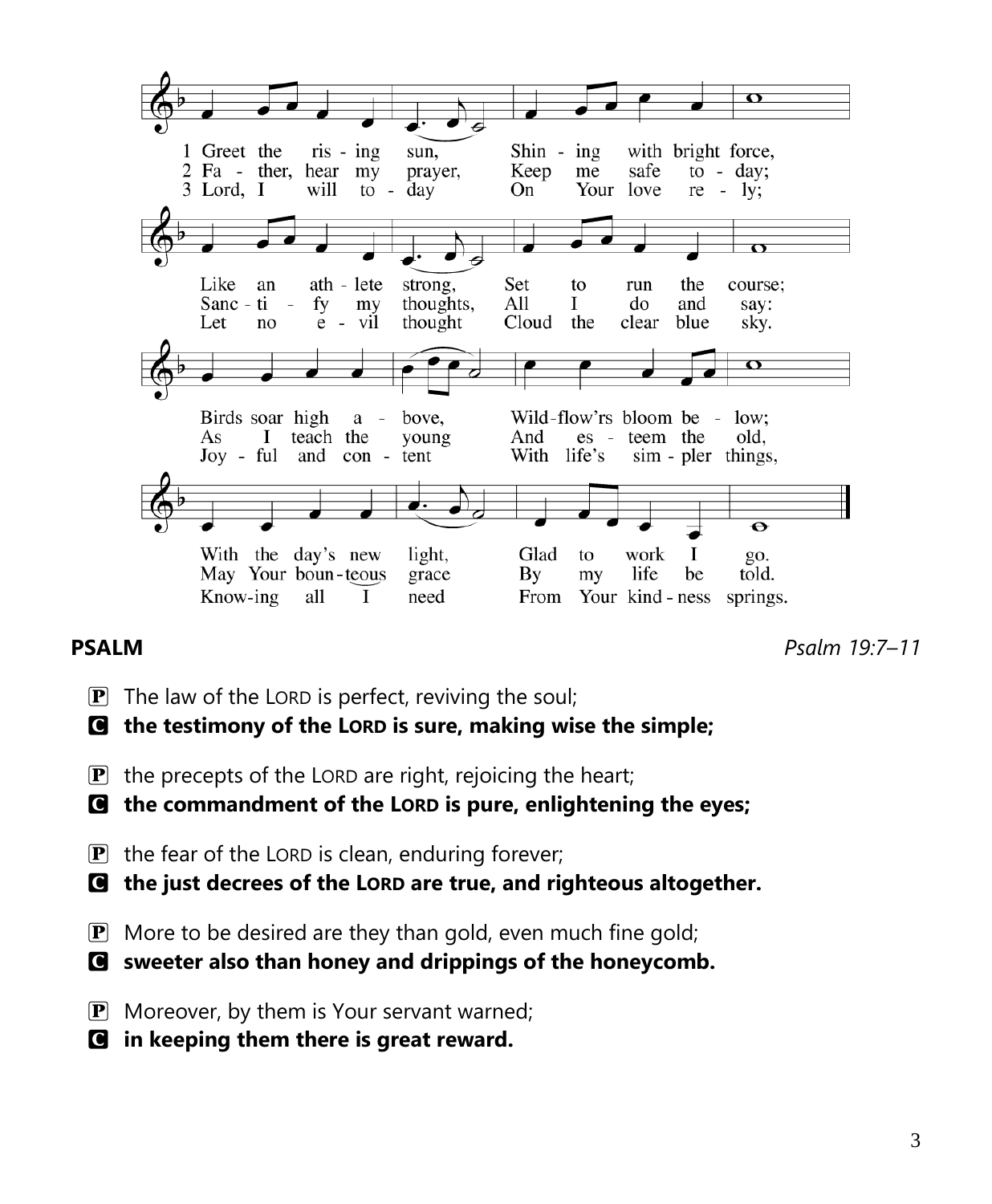

**PSALM** *Psalm 19:7–11*

- $\mathbf{P}$  The law of the LORD is perfect, reviving the soul;
- C **the testimony of the LORD is sure, making wise the simple;**
- $\mathbf{P}$  the precepts of the LORD are right, rejoicing the heart;
- C **the commandment of the LORD is pure, enlightening the eyes;**
- $\mathbf{P}$  the fear of the LORD is clean, enduring forever;
- C **the just decrees of the LORD are true, and righteous altogether.**
- $\mathbf{P}$  More to be desired are they than gold, even much fine gold;
- C **sweeter also than honey and drippings of the honeycomb.**
- $\mathbf{P}$  Moreover, by them is Your servant warned;
- C **in keeping them there is great reward.**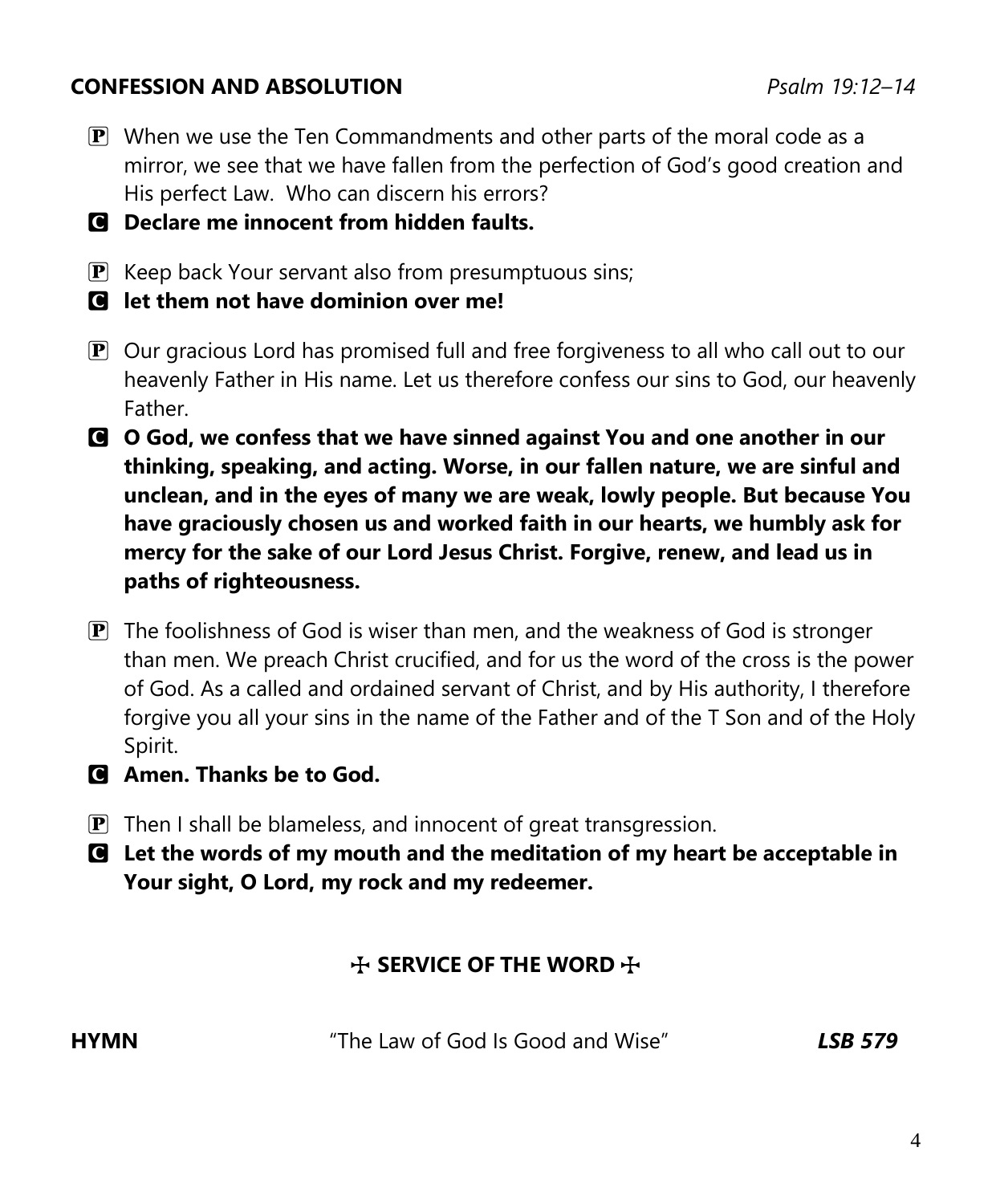#### **CONFESSION AND ABSOLUTION** *Psalm 19:12–14*

- $\mathbf{P}$  When we use the Ten Commandments and other parts of the moral code as a mirror, we see that we have fallen from the perfection of God's good creation and His perfect Law. Who can discern his errors?
- C **Declare me innocent from hidden faults.**
- $\mathbf{P}$  Keep back Your servant also from presumptuous sins;
- C **let them not have dominion over me!**
- $\mathbf{P}$  Our gracious Lord has promised full and free forgiveness to all who call out to our heavenly Father in His name. Let us therefore confess our sins to God, our heavenly Father.
- C **O God, we confess that we have sinned against You and one another in our thinking, speaking, and acting. Worse, in our fallen nature, we are sinful and unclean, and in the eyes of many we are weak, lowly people. But because You have graciously chosen us and worked faith in our hearts, we humbly ask for mercy for the sake of our Lord Jesus Christ. Forgive, renew, and lead us in paths of righteousness.**
- $\mathbf{P}$  The foolishness of God is wiser than men, and the weakness of God is stronger than men. We preach Christ crucified, and for us the word of the cross is the power of God. As a called and ordained servant of Christ, and by His authority, I therefore forgive you all your sins in the name of the Father and of the T Son and of the Holy Spirit.
- C **Amen. Thanks be to God.**
- $\mathbf{P}$  Then I shall be blameless, and innocent of great transgression.
- C **Let the words of my mouth and the meditation of my heart be acceptable in Your sight, O Lord, my rock and my redeemer.**

# **THE WORD THE SERVICE OF THE WORD**

**HYMN** "The Law of God Is Good and Wise"*LSB 579*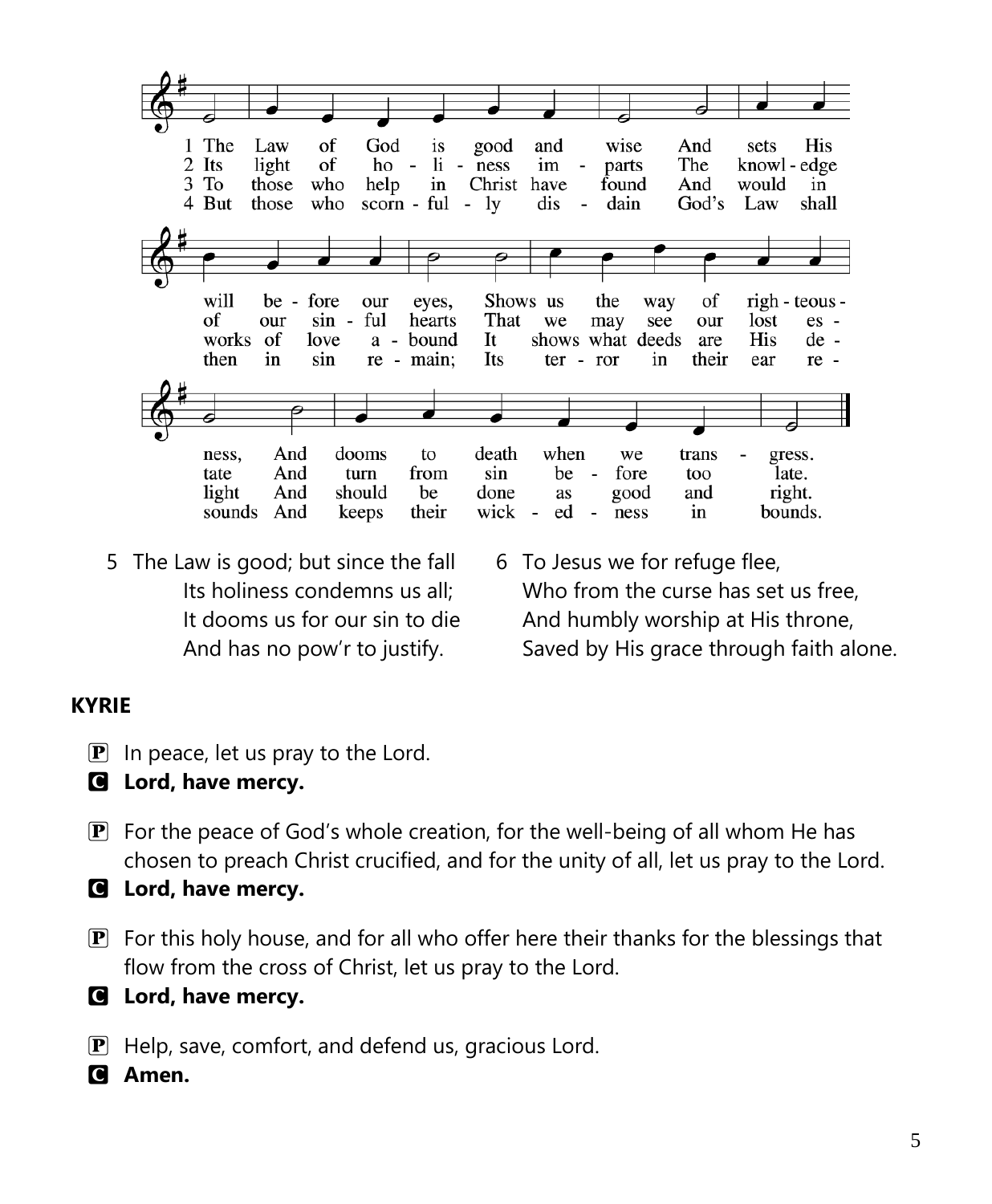

- 5 The Law is good; but since the fall Its holiness condemns us all; It dooms us for our sin to die And has no pow'r to justify.
- 6 To Jesus we for refuge flee, Who from the curse has set us free, And humbly worship at His throne, Saved by His grace through faith alone.

### **KYRIE**

- $\boxed{\mathbf{P}}$  In peace, let us pray to the Lord.
- C **Lord, have mercy.**
- $\mathbf{P}$  For the peace of God's whole creation, for the well-being of all whom He has chosen to preach Christ crucified, and for the unity of all, let us pray to the Lord.
- C **Lord, have mercy.**
- $\mathbf{P}$  For this holy house, and for all who offer here their thanks for the blessings that flow from the cross of Christ, let us pray to the Lord.
- C **Lord, have mercy.**
- P Help, save, comfort, and defend us, gracious Lord.
- C **Amen.**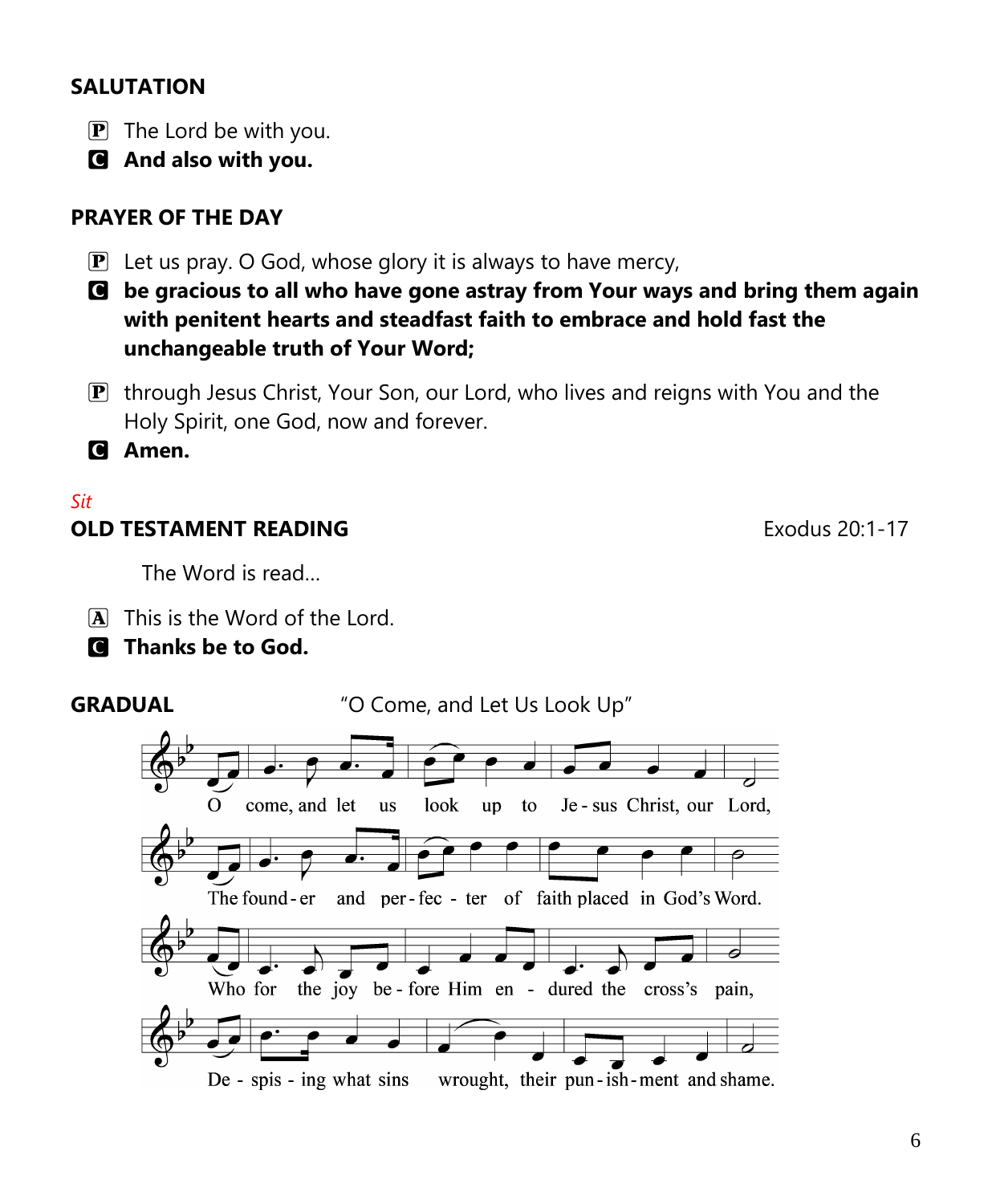# **SALUTATION**

- $\boxed{\mathbf{P}}$  The Lord be with you.
- C **And also with you.**

# **PRAYER OF THE DAY**

- $\mathbf{P}$  Let us pray. O God, whose glory it is always to have mercy,
- C **be gracious to all who have gone astray from Your ways and bring them again with penitent hearts and steadfast faith to embrace and hold fast the unchangeable truth of Your Word;**
- $\mathbf{P}$  through Jesus Christ, Your Son, our Lord, who lives and reigns with You and the Holy Spirit, one God, now and forever.

C **Amen.**

# *Sit*

#### **OLD TESTAMENT READING Exodus 20:1-17**

The Word is read…

 $\overline{A}$  This is the Word of the Lord.

# C **Thanks be to God.**

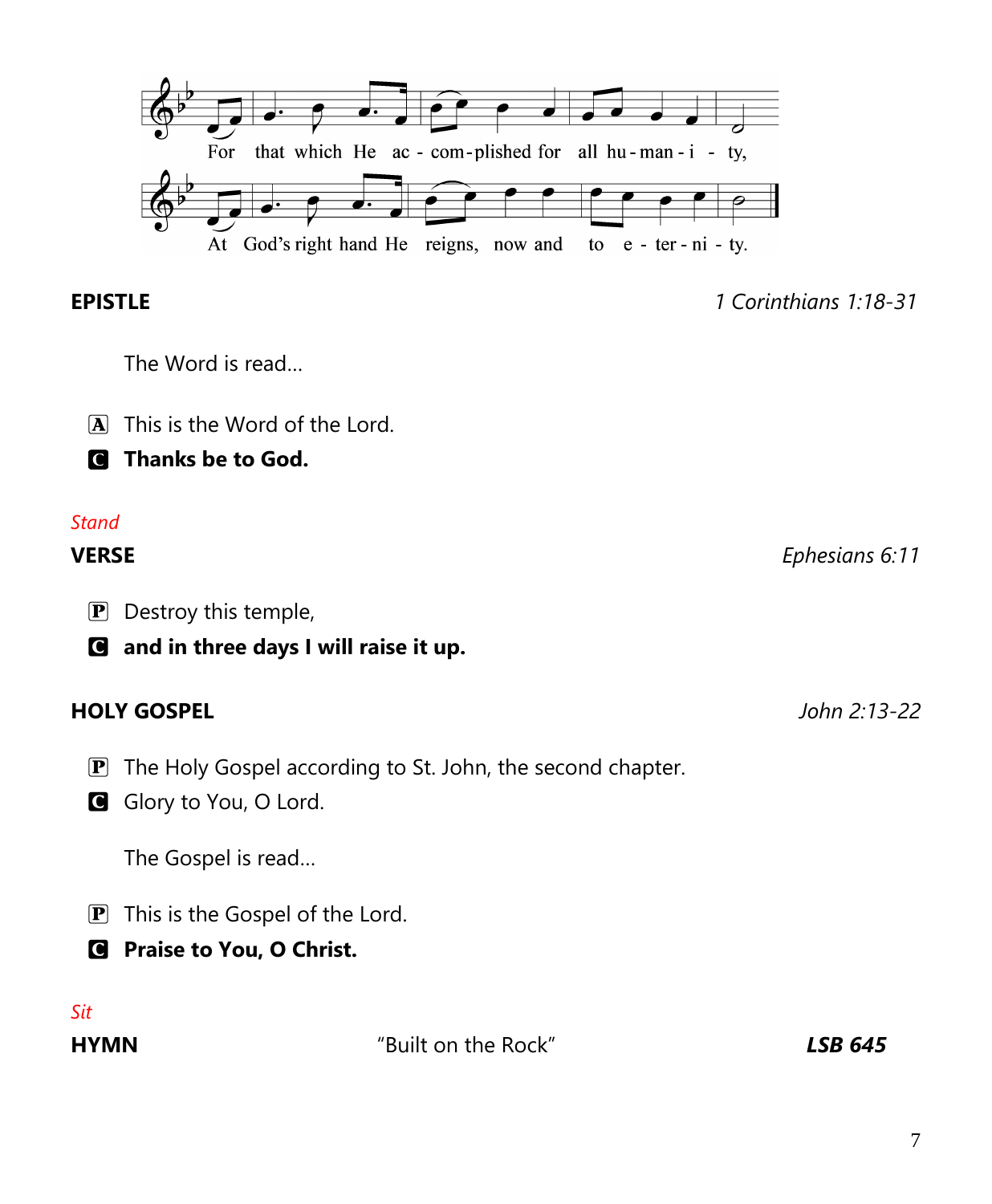**EPISTLE** *1 Corinthians 1:18-31*

The Word is read…

 $\overline{A}$  This is the Word of the Lord.

C **Thanks be to God.**

#### *Stand*

- **P** Destroy this temple,
- C **and in three days I will raise it up.**

#### **HOLY GOSPEL** *John 2:13-22*

- **P** The Holy Gospel according to St. John, the second chapter.
- G Glory to You, O Lord.

The Gospel is read…

- P This is the Gospel of the Lord.
- C **Praise to You, O Christ.**

*Sit*

**HYMN** "Built on the Rock"*LSB 645*

**VERSE** *Ephesians 6:11*

 $\overline{\bullet}$ For that which He ac - com-plished for all hu-man-i - ty, At God's right hand He reigns, now and to  $e$  - ter - ni - ty.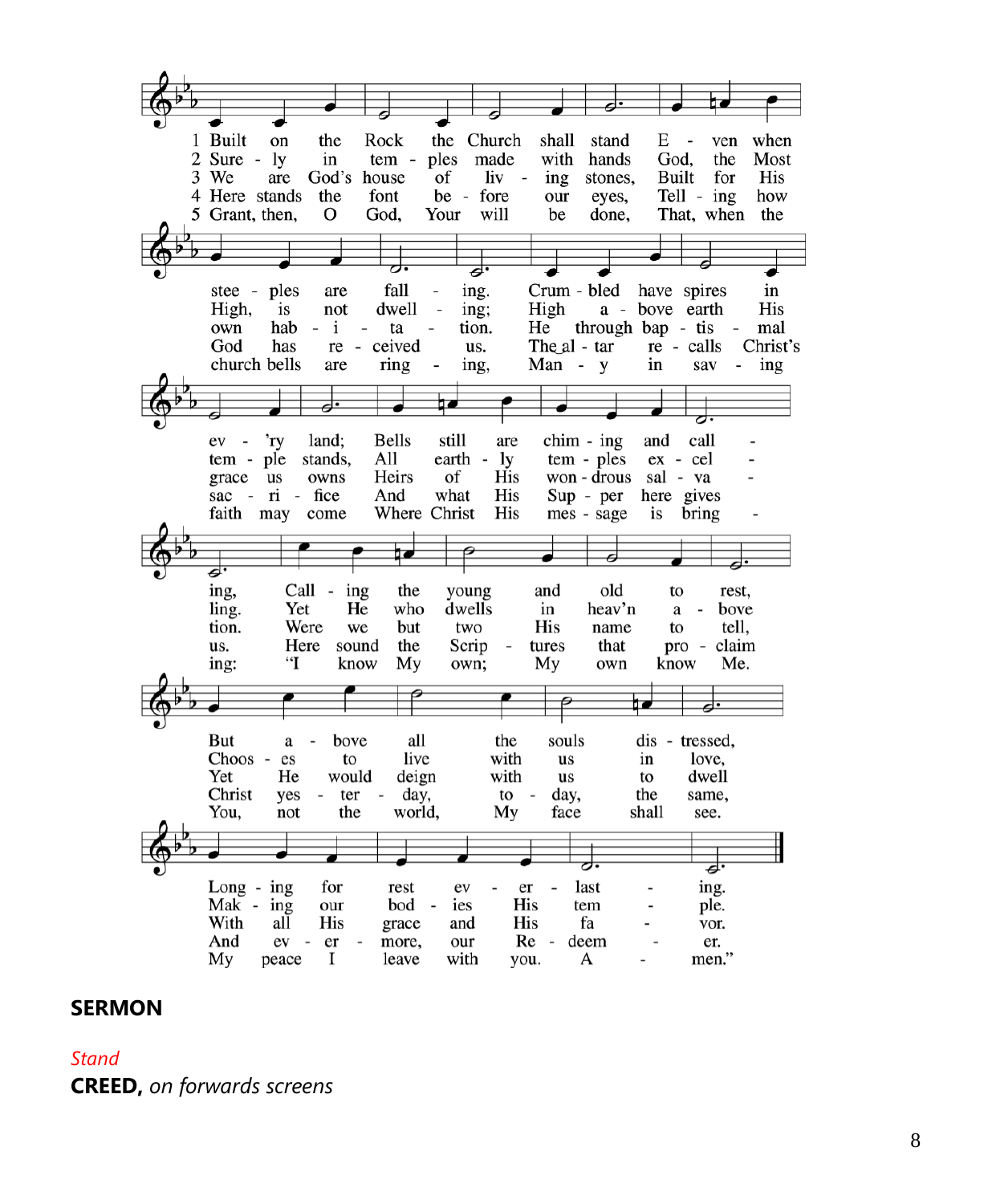1 Built on the Rock the Church shall  $E$ when stand ven  $2$  Sure -  $1y$ in tem ples made with hands God, the Most 3 We  $\sigma$ liv Built for His are God's house  $\overline{\phantom{a}}$ ing stones, 4 Here stands font be - fore eyes, Tell - ing how the our 5 Grant, then, O God, Your will be done, That, when the ples fall Crum - bled have spires stee are ing. in High, dwell a - bove earth His is not  $\sim$ ing; High hab  $- i$ through bap - tis own ta tion. He  $\sim$ mal  $\blacksquare$ God ceived The al - tar re - calls Christ's has  $re$  $\sim$ us. church bells ring Man - y sav are ing, in  $\sim$ ing 60 ⊅  $ev -$ 'ry land; **Bells** still are  $chim - ing$ and call All tem - ple stands, earth - ly tem - ples ex - cel grace us owns Heirs of His won -  $d$ rous sal - va sac - ri - fice And what His Sup - per here gives Where Christ His mes - sage faith may come is bring 6 बंग ing, Call ing the young and old to rest. Yet He dwells heav'n ling. who in a  $\sim$ bove tion. Were we but two His name to tell, Here sound Scrip tures that us. the  $\overline{\phantom{a}}$ pro - claim  $\cdot$ know My My ing: own; own know Me. But all the souls dis - tressed, a bove  $\overline{a}$  $Choose - es$ live with love. to us in deign Yet He would with dwell us to Christ yes  $\sim$ ter  $\sim$ day,  $\mathfrak{g}$  day, the same, You, not the world, My face shall see. ⇉ last  $Long - ing$ for rest ev er ing.  $Mak - ing$ our bod ies His tem ple. With all His His fa grace and vor. And ev - er more, our  $Re$ deem er.  $\overline{\phantom{a}}$ men." My peace **I** leave with you. A

#### **SERMON**

*Stand*

**CREED,** *on forwards screens*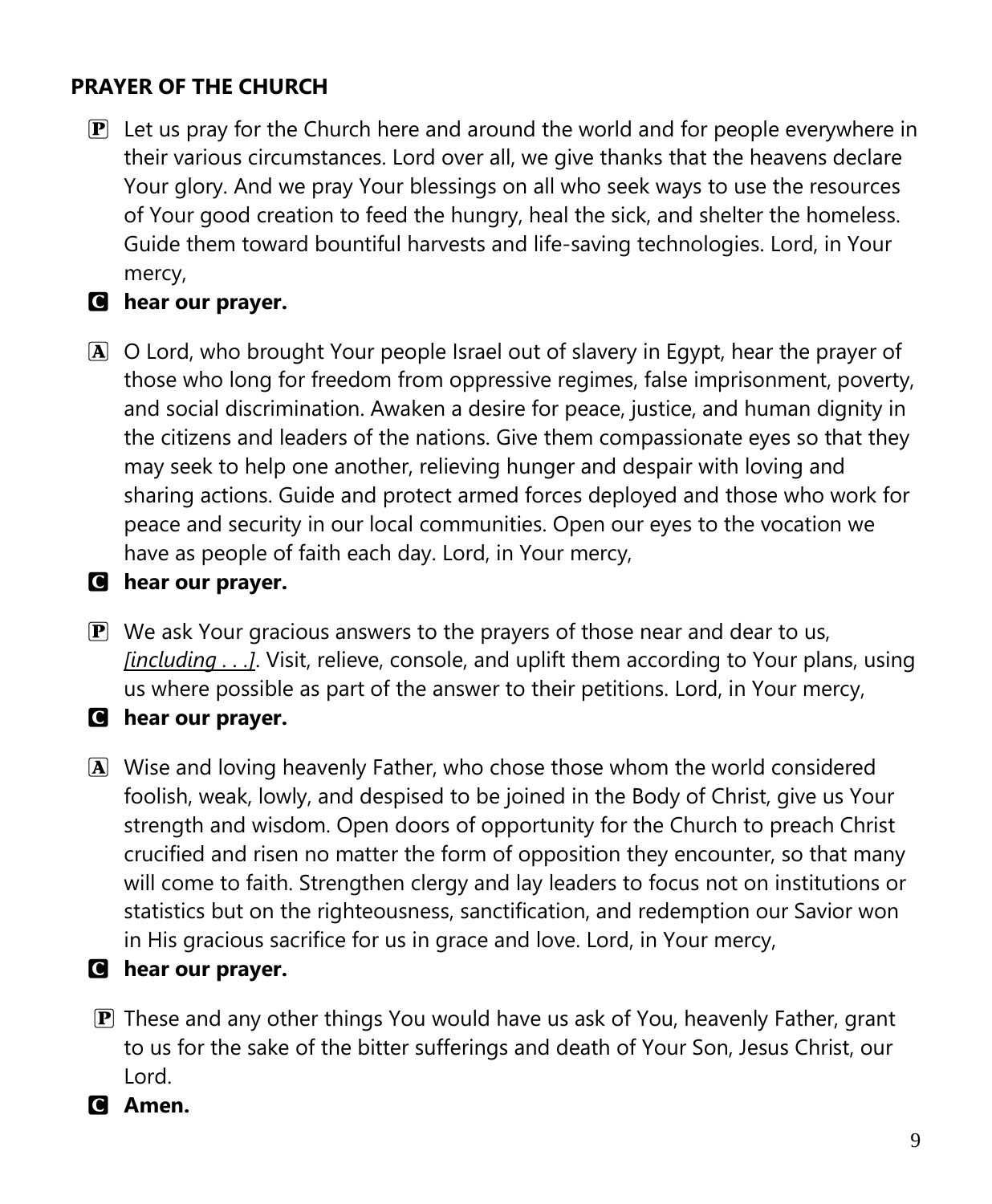# **PRAYER OF THE CHURCH**

 $\mathbf{P}$  Let us pray for the Church here and around the world and for people everywhere in their various circumstances. Lord over all, we give thanks that the heavens declare Your glory. And we pray Your blessings on all who seek ways to use the resources of Your good creation to feed the hungry, heal the sick, and shelter the homeless. Guide them toward bountiful harvests and life-saving technologies. Lord, in Your mercy,

# C **hear our prayer.**

A O Lord, who brought Your people Israel out of slavery in Egypt, hear the prayer of those who long for freedom from oppressive regimes, false imprisonment, poverty, and social discrimination. Awaken a desire for peace, justice, and human dignity in the citizens and leaders of the nations. Give them compassionate eyes so that they may seek to help one another, relieving hunger and despair with loving and sharing actions. Guide and protect armed forces deployed and those who work for peace and security in our local communities. Open our eyes to the vocation we have as people of faith each day. Lord, in Your mercy,

#### C **hear our prayer.**

- $\mathbf{P}$  We ask Your gracious answers to the prayers of those near and dear to us, *[including . . .]*. Visit, relieve, console, and uplift them according to Your plans, using us where possible as part of the answer to their petitions. Lord, in Your mercy,
- C **hear our prayer.**
- A Wise and loving heavenly Father, who chose those whom the world considered foolish, weak, lowly, and despised to be joined in the Body of Christ, give us Your strength and wisdom. Open doors of opportunity for the Church to preach Christ crucified and risen no matter the form of opposition they encounter, so that many will come to faith. Strengthen clergy and lay leaders to focus not on institutions or statistics but on the righteousness, sanctification, and redemption our Savior won in His gracious sacrifice for us in grace and love. Lord, in Your mercy,

#### C **hear our prayer.**

**P** These and any other things You would have us ask of You, heavenly Father, grant to us for the sake of the bitter sufferings and death of Your Son, Jesus Christ, our Lord.

#### C **Amen.**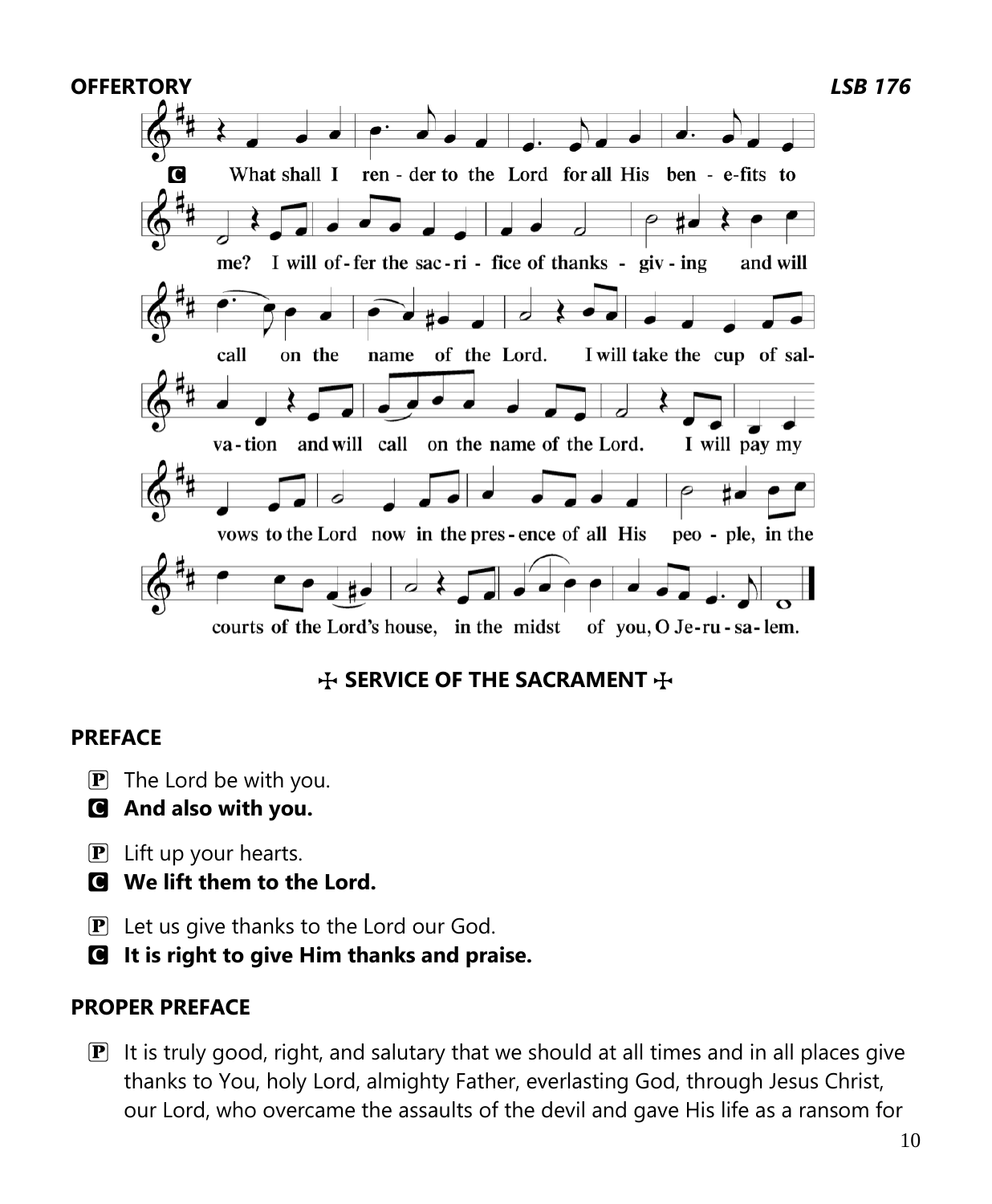

# **THE SACRAMENT** THE SACRAMENT

#### **PREFACE**

- $\mathbf{P}$  The Lord be with you.
- C **And also with you.**
- $\overline{P}$  Lift up your hearts.
- C **We lift them to the Lord.**
- P Let us give thanks to the Lord our God.
- C **It is right to give Him thanks and praise.**

### **PROPER PREFACE**

 $\mathbf{P}$  It is truly good, right, and salutary that we should at all times and in all places give thanks to You, holy Lord, almighty Father, everlasting God, through Jesus Christ, our Lord, who overcame the assaults of the devil and gave His life as a ransom for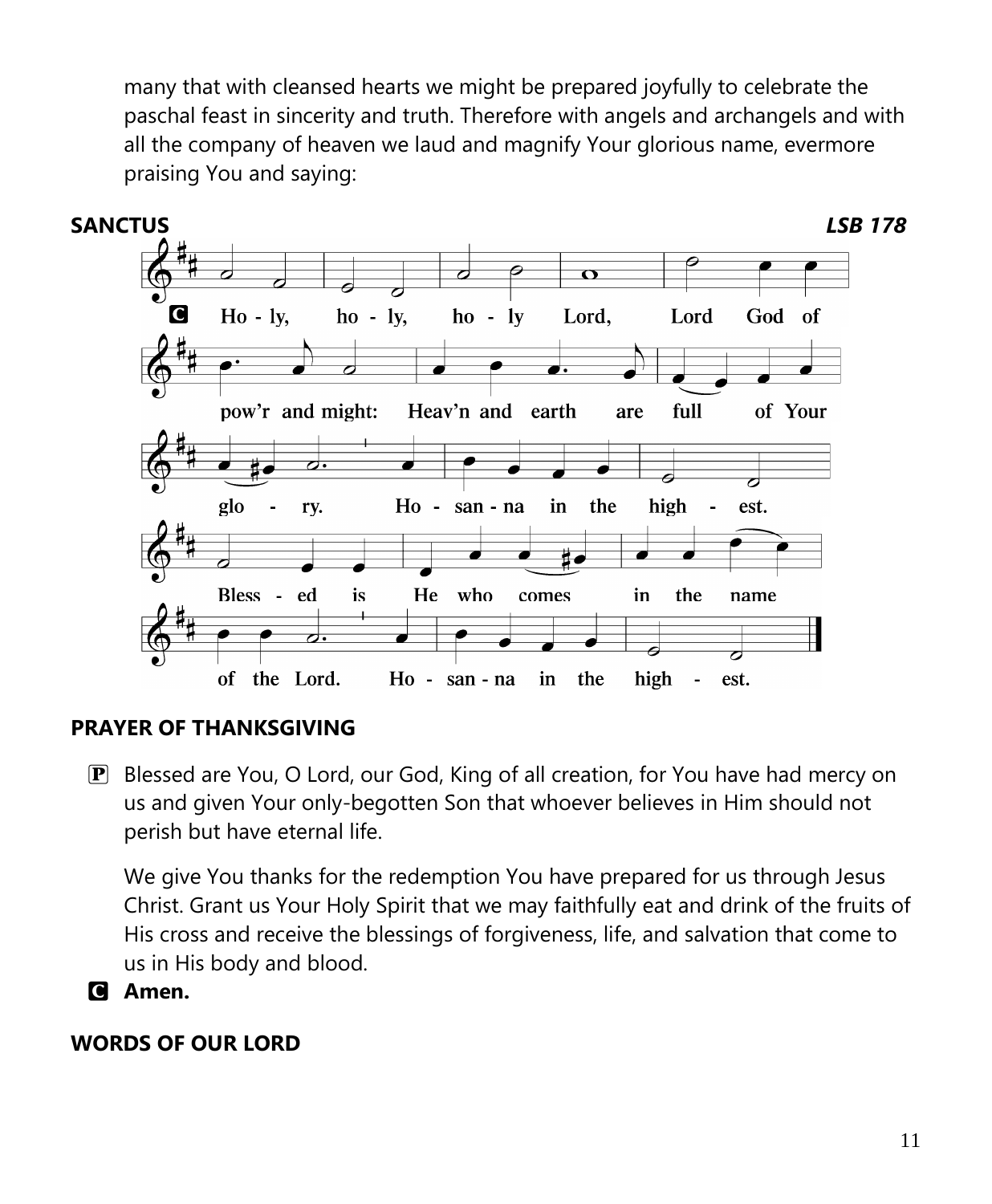many that with cleansed hearts we might be prepared joyfully to celebrate the paschal feast in sincerity and truth. Therefore with angels and archangels and with all the company of heaven we laud and magnify Your glorious name, evermore praising You and saying:



### **PRAYER OF THANKSGIVING**

P Blessed are You, O Lord, our God, King of all creation, for You have had mercy on us and given Your only-begotten Son that whoever believes in Him should not perish but have eternal life.

We give You thanks for the redemption You have prepared for us through Jesus Christ. Grant us Your Holy Spirit that we may faithfully eat and drink of the fruits of His cross and receive the blessings of forgiveness, life, and salvation that come to us in His body and blood.

C **Amen.**

#### **WORDS OF OUR LORD**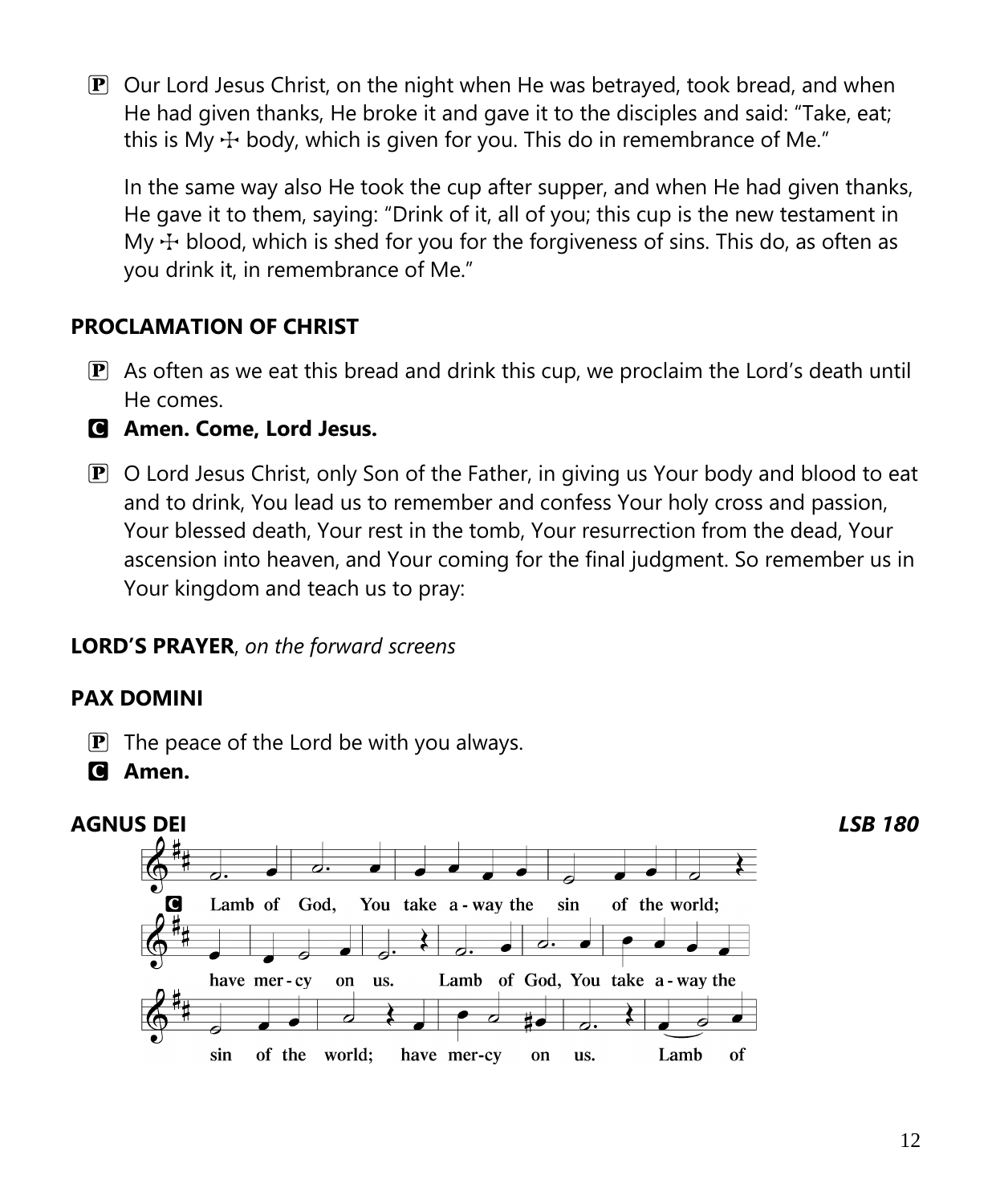$\mathbf{P}$  Our Lord Jesus Christ, on the night when He was betrayed, took bread, and when He had given thanks, He broke it and gave it to the disciples and said: "Take, eat; this is My  $\pm$  body, which is given for you. This do in remembrance of Me."

In the same way also He took the cup after supper, and when He had given thanks, He gave it to them, saying: "Drink of it, all of you; this cup is the new testament in My  $\pm$  blood, which is shed for you for the forgiveness of sins. This do, as often as you drink it, in remembrance of Me."

# **PROCLAMATION OF CHRIST**

- $\mathbf{P}$  As often as we eat this bread and drink this cup, we proclaim the Lord's death until He comes.
- C **Amen. Come, Lord Jesus.**
- $\mathbf P$  O Lord Jesus Christ, only Son of the Father, in giving us Your body and blood to eat and to drink, You lead us to remember and confess Your holy cross and passion, Your blessed death, Your rest in the tomb, Your resurrection from the dead, Your ascension into heaven, and Your coming for the final judgment. So remember us in Your kingdom and teach us to pray:

### **LORD'S PRAYER**, *on the forward screens*

### **PAX DOMINI**

- $\mathbf{P}$  The peace of the Lord be with you always.
- C **Amen.**

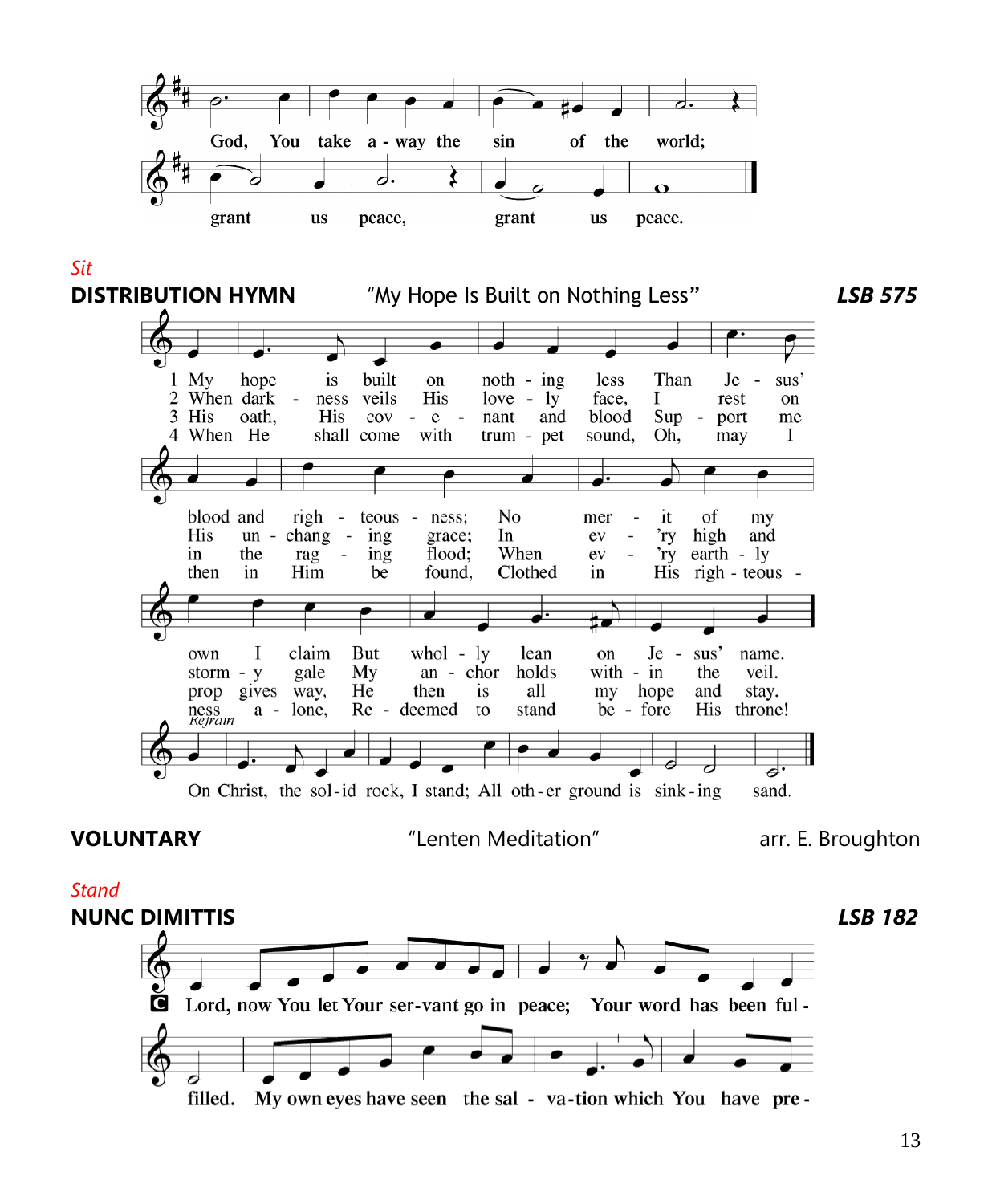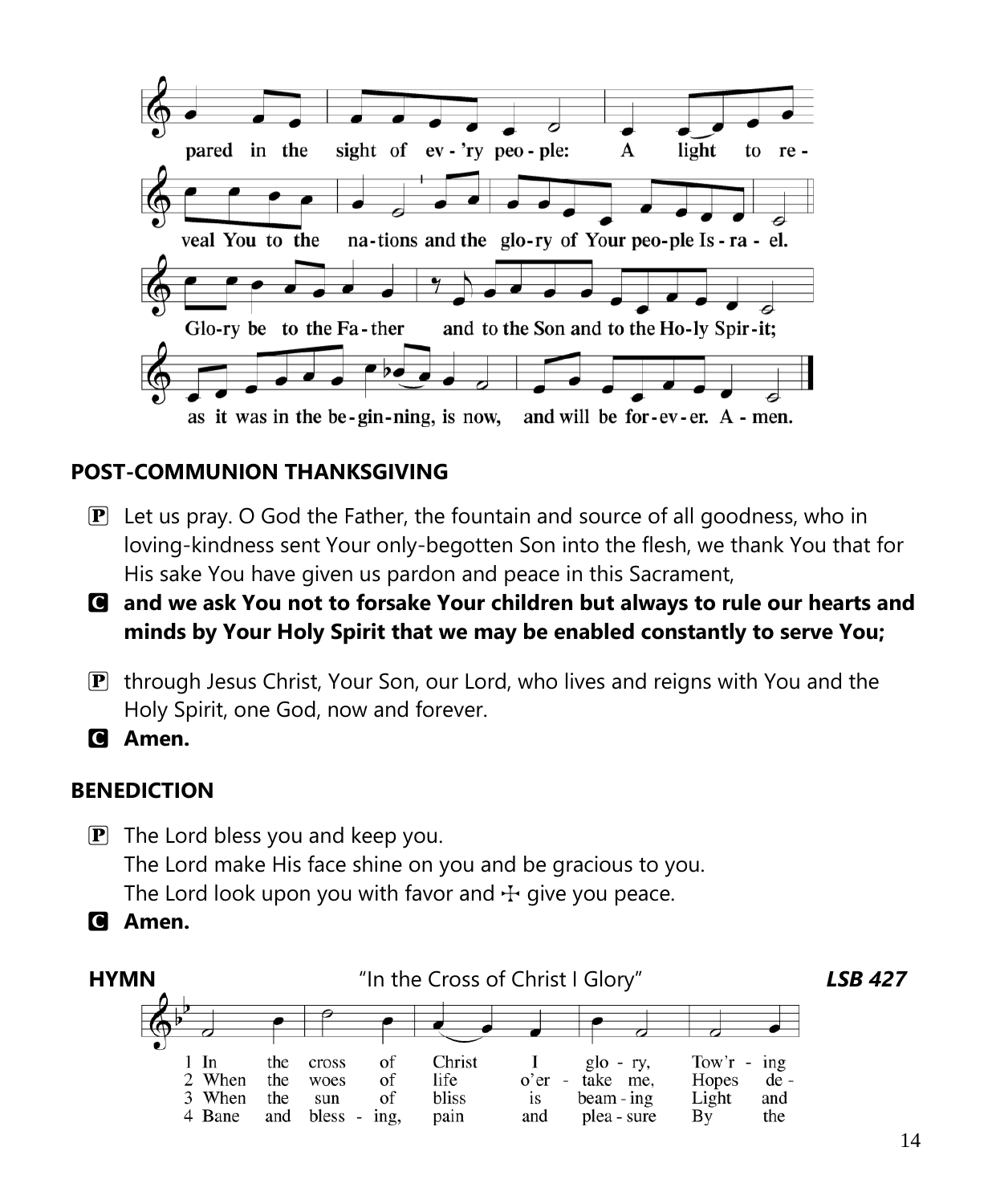

# **POST-COMMUNION THANKSGIVING**

- $\mathbf{P}$  Let us pray. O God the Father, the fountain and source of all goodness, who in loving-kindness sent Your only-begotten Son into the flesh, we thank You that for His sake You have given us pardon and peace in this Sacrament,
- C **and we ask You not to forsake Your children but always to rule our hearts and minds by Your Holy Spirit that we may be enabled constantly to serve You;**
- P through Jesus Christ, Your Son, our Lord, who lives and reigns with You and the Holy Spirit, one God, now and forever.

C **Amen.**

### **BENEDICTION**

- $\mathbf{P}$  The Lord bless you and keep you. The Lord make His face shine on you and be gracious to you. The Lord look upon you with favor and  $\pm$  give you peace.
- C **Amen.**